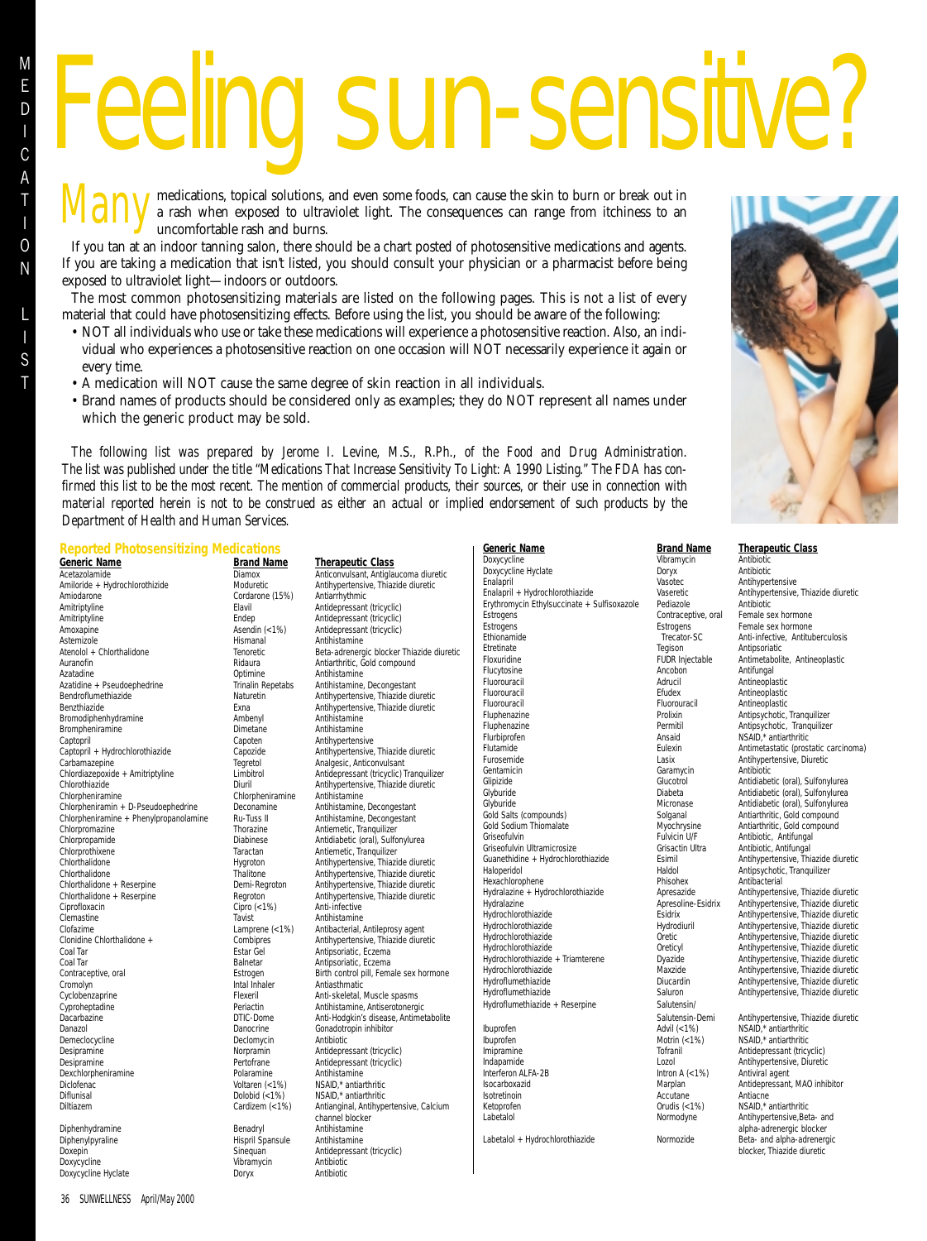I S T

# **Id sun-sensitive**

medications, topical solutions, and even some foods, can cause the skin to burn or break out in **Many** medications, topical solutions, and even some foods, can cause the skin to burn or break out in a rash when exposed to ultraviolet light. The consequences can range from itchiness to an uncomfortable rash and burns uncomfortable rash and burns.

If you tan at an indoor tanning salon, there should be a chart posted of photosensitive medications and agents. If you are taking a medication that isn't listed, you should consult your physician or a pharmacist before being exposed to ultraviolet light—indoors or outdoors.

The most common photosensitizing materials are listed on the following pages. This is not a list of every material that could have photosensitizing effects. Before using the list, you should be aware of the following:

- NOT all individuals who use or take these medications will experience a photosensitive reaction. Also, an individual who experiences a photosensitive reaction on one occasion will NOT necessarily experience it again or every time.
- A medication will NOT cause the same degree of skin reaction in all individuals.
- Brand names of products should be considered only as examples; they do NOT represent all names under which the generic product may be sold.

*The following list was prepared by Jerome I. Levine, M.S., R.Ph., of the Food and Drug Administration. The list was published under the title "Medications That Increase Sensitivity To Light: A 1990 Listing." The FDA has confirmed this list to be the most recent. The mention of commercial products, their sources, or their use in connection with material reported herein is not to be construed as either an actual or implied endorsement of such products by the Department of Health and Human Services.*

# **Reported Photosensitizing Medications**

**Generic Name**<br> **Acetazolamide**<br> **Acetazolamide**<br> **Brand Name <b>Integration**<br> **Diamox Anticonvulsant, Antiglat** Amiloride + Hydrochlorothizide Moduretic Antihypertensive Antihypertensive Antihypertensive, Thiangide diuretic<br>Cordarone (15%) Antiarrhythmic Amiodarone (15%)<br>Amitriptyline Cordarone (15%)<br>Elavil Amitriptyline Elavil Elavil Antidepressant (tricyclic)<br>Amitriptyline Endep Endep Antidepressant (tricyclic) Amoxapine Asendin (<1%) Antidepressant (tricyclic)<br>Astemizole Astemizole Hismanal Antihistamine Astemizole **Antihistamine**<br>Atenolol + Chlorthalidone **Atenolol + Chlorthalidone Antihistamine Antihistamine** Auranofin Ridaura Antiarthritic, Gold compound Azatadine **Antihistamine** Optimine **Antihistamine**<br>Azatidine + Pseudoephedrine **Antihistamine** Trinalin Repetabs Antihistamine Bendroflumethiazide Naturetin Antihypertensive, Thiazide diuretic Bromodiphenhydramine Brompheniramine Captopril Dimetane Antihistamine<br>Captopril Captopril Capton Antihypertens Captopril Capoten Antihypertensive<br>Captopril + Hydrochlorothiazide Capozide Antihypertensive Carbamazepine Tegretol Analgesic, Anticonvulsant<br>
Chlordiazepoxide + Amitriptyline Limbitrol Antidepressant (tricyclic) 1 Chlordiazepoxide + Amitriptyline Limbitrol Antidepressant (tricyclic) Tranquilizer<br>Chlorothiazide diuretic Chlorothiazide diuretic Chlorpheniramine Chlorpheniramine Antihistamine<br>
Chlorpheniramin + D-Pseudoephedrine Deconamine Antihistamine, Decongestant Chlorpheniramin + D-Pseudoephedrine Deconamine Antihistamine, Decongestant Chlorpheniramine + Phenylpropanolamine Ru-Tuss II Antihistamine, Decongestant Chlorpheniramine + Phenylpropanolamine Chlorpromazine Thorazine Thorazine Antiemetic, Tranquilizer<br>Chlorpropamide Diabinese Antidiabetic (oral), Sulfo Chlorpropamide Diabinese Antidiabetic (oral), Sulfonylurea<br>
Chlorprothixene Taractan Antiemetic, Tranquilizer Chlorthalidone Hygroton Antihypertensive, Thiazide diuretic Chlorthalidone Thalitone Antihypertensive, Thiazide diuretic<br>Chlorthalidone + Reserpine Chlorthalidone + Reserpine Chlorthalidone + Reserpine Chlorthalidone + Reserpine Demi-Regroton Antihypertensive, Thiazide diuretic<br>Chlorthalidone + Reserpine Regroton Antihypertensive, Thiazide diuretic Ciprofloxacin Cipro (<1%) Anti-infective Clemastine Tavist Antihistamine (<1%) Antihistamine Clofazime (<1%) Antibacterial, Clofazime Lamprene (<1%) Antibacterial, Antileprosy agent<br>Clonidine Chlorthalidone + Combiores Antihypertensive. Thiazide diure Clonidine Chlorthalidone + Combipres Antihypertensive, Thiazide diuretic<br>
Coal Tar Coal Tar Coal Tar Estar Gel Antipsoriatic, Eczema Contraceptive, oral **Extrogen** Estrogen Birth control pill, Female sex hormone Cromolyn control pill, Female sex hormone Cromolyn Intal Inhaler<br>
Cyclobenzaprine Gydenetics Flexeril Cyclobenzaprine Flexeril Anti-skeletal, Muscle spasms Cyproheptadine **Antihistamine, Antiserotonergic**<br>
Dacarbazine **Periactin** DTIC-Dome **Anti-Hodokin's disease. Antime** Danazol Danazol Danocrine Gonadotropin inhibitor<br>
Declomycin Antibiotic Pemeclocycline Consumers Declomycin Antibiotic Demeclocycline Declomycine Declomycine<br>
Declomycine Norpramine<br>
Norpramin Desipramine **Desipramine** Pertofrane Antidepressant (tricyclic)<br>
Pertofrane Antibistamine Antibistamine Dexchlorpheniramine Polaramine Polaramine Polaramine Polaramine (<1%) Diclofenac Voltaren (<1%) NSAID,\* antiarthritic Diflunisal Diffunisal Dolobid (<1%) NSAID,\* antiarthritic<br>Diftiazem Cardizem (<1%) Antianginal, Antihype Diphenhydramine **Benadryl** Benadryl Antihistamine<br>Diphenylpyraline **Antihistamine** Hispril Spansule Antihistamine

Diphenylpyraline<br>Doxepin Doxycycline Vibramycin Antibiotic Doxycycline Hyclate

Diamox **Anticonvulsant, Antiglaucoma diuretic**<br>Moduretic **Antihypertensive**. Thiazide diuretic Antidepressant (tricyclic) Beta-adrenergic blocker Thiazide diuretic Antihistamine, Decongestant Exna 1992 - Antihypertensive, Thiazide diuretic<br>Ambenyl - Antihistamine Antihypertensive, Thiazide diuretic Antihypertensive, Thiazide diuretic Taractan Antiemetic, Tranquilizer<br>Hygroton Antihypertensive, Thiazi Regroton **Antihypertensive, Thiazide diuretic<br>Cipro (<1%)** Anti-infective Antipsoriatic, Eczema Anti-Hodgkin's disease, Antimetabolite Antidepressant (tricyclic) Antianginal, Antihypertensive, Calcium channel blocker Sinequan Antidepressant (tricyclic)<br>Vibramycin Antibiotic

| Generic Name                                | <b>Brand Name</b>               | <b>Therapeutic Class</b>             |  |
|---------------------------------------------|---------------------------------|--------------------------------------|--|
| Doxycycline                                 | Vibramycin                      | Antibiotic                           |  |
| Doxycycline Hyclate                         | Doryx                           | Antibiotic                           |  |
| Enalapril                                   | Vasotec                         | Antihypertensive                     |  |
| Enalapril + Hydrochlorothiazide             | Vaseretic                       | Antihypertensive, Thiazide diuretic  |  |
| Erythromycin Ethylsuccinate + Sulfisoxazole | Pediazole                       | Antibiotic                           |  |
| Estrogens                                   | Contraceptive, oral             | Female sex hormone                   |  |
| Estrogens                                   | Estrogens                       | Female sex hormone                   |  |
| Ethionamide                                 | Trecator-SC                     | Anti-infective, Antituberculosis     |  |
| <b>Ftretinate</b>                           | Tegison                         | Antipsoriatic                        |  |
| Floxuridine                                 | <b>FUDR Injectable</b>          | Antimetabolite, Antineoplastic       |  |
| Flucytosine                                 | Ancobon                         | Antifungal                           |  |
| Fluorouracil                                | Adrucil                         | Antineoplastic                       |  |
| Fluorouracil                                | Efudex                          | Antineoplastic                       |  |
| Fluorouracil                                | Fluorouracil                    | Antineoplastic                       |  |
| Fluphenazine                                | Prolixin                        | Antipsychotic, Tranquilizer          |  |
| Fluphenazine                                | Permitil                        | Antipsychotic, Tranquilizer          |  |
| Flurbiprofen                                | Ansaid                          | NSAID,* antiarthritic                |  |
| Flutamide                                   | Eulexin                         | Antimetastatic (prostatic carcinoma) |  |
| Furosemide                                  | Lasix                           | Antihypertensive, Diuretic           |  |
| Gentamicin                                  | Garamycin                       | Antibiotic                           |  |
| Glipizide                                   | Glucotrol                       | Antidiabetic (oral), Sulfonylurea    |  |
| Glyburide                                   | Diabeta                         | Antidiabetic (oral), Sulfonylurea    |  |
| Glyburide                                   | Micronase                       | Antidiabetic (oral), Sulfonylurea    |  |
| Gold Salts (compounds)                      | Solganal                        | Antiarthritic, Gold compound         |  |
| Gold Sodium Thiomalate                      | Myochrysine                     | Antiarthritic, Gold compound         |  |
| Griseofulvin                                | Fulvicin U/F                    | Antibiotic, Antifungal               |  |
| Griseofulvin Ultramicrosize                 | Grisactin Ultra                 | Antibiotic, Antifungal               |  |
| Guanethidine + Hydrochlorothiazide          | Esimil                          | Antihypertensive, Thiazide diuretic  |  |
| Haloperidol                                 | Haldol                          | Antipsychotic, Tranquilizer          |  |
| Hexachlorophene                             | Phisohex                        | Antibacterial                        |  |
| Hydralazine + Hydrochlorothiazide           | Apresazide                      | Antihypertensive, Thiazide diuretic  |  |
| Hydralazine                                 | Apresoline-Esidrix              | Antihypertensive, Thiazide diuretic  |  |
| Hydrochlorothiazide                         | <b>Fsidrix</b>                  | Antihypertensive, Thiazide diuretic  |  |
| Hydrochlorothiazide                         | Hydrodiuril                     | Antihypertensive, Thiazide diuretic  |  |
| Hydrochlorothiazide                         | Oretic                          | Antihypertensive, Thiazide diuretic  |  |
| Hydrochlorothiazide                         | Oreticyl                        | Antihypertensive, Thiazide diuretic  |  |
| Hydrochlorothiazide + Triamterene           | Dyazide                         | Antihypertensive, Thiazide diuretic  |  |
| Hydrochlorothiazide                         | Maxzide                         | Antihypertensive, Thiazide diuretic  |  |
| Hydroflumethiazide                          | Diucardin                       | Antihypertensive, Thiazide diuretic  |  |
| Hydroflumethiazide                          | Saluron                         | Antihypertensive, Thiazide diuretic  |  |
| Hydroflumethiazide + Reserpine              | Salutensin/                     |                                      |  |
|                                             | Salutensin-Demi                 | Antihypertensive, Thiazide diuretic  |  |
| Ibuprofen                                   | Advil (<1%)                     | NSAID,* antiarthritic                |  |
| Ibuprofen                                   | Motrin $(< 1\%)$                | NSAID,* antiarthritic                |  |
| Imipramine                                  | Tofranil                        | Antidepressant (tricyclic)           |  |
| Indapamide                                  | Lozol                           | Antihypertensive, Diuretic           |  |
| Interferon ALFA-2B                          | Intron A $\left( < 1\% \right)$ | Antiviral agent                      |  |
| Isocarboxazid                               | Marplan                         | Antidepressant, MAO inhibitor        |  |
| Isotretinoin                                | Accutane                        | Antiacne                             |  |
| Ketoprofen                                  | Orudis $(< 1\%)$                | NSAID,* antiarthritic                |  |
| Labetalol                                   | Normodyne                       | Antihypertensive, Beta- and          |  |
|                                             |                                 | alpha-adrenergic blocker             |  |
| Labetalol + Hydrochlorothiazide             | Normozide                       | Beta- and alpha-adrenergic           |  |
|                                             |                                 | blocker Thiozide diuretic            |  |

| <b>Therapeutic Class</b>                                                                                                                                                                                                             |
|--------------------------------------------------------------------------------------------------------------------------------------------------------------------------------------------------------------------------------------|
| Antibiotic                                                                                                                                                                                                                           |
| Antibiotic                                                                                                                                                                                                                           |
| Antihypertensive                                                                                                                                                                                                                     |
| Antihypertensive, Thiazide diuretic                                                                                                                                                                                                  |
| Antibiotic                                                                                                                                                                                                                           |
| Female sex hormone                                                                                                                                                                                                                   |
| Female sex hormone                                                                                                                                                                                                                   |
| Anti-infective, Antituberculosis                                                                                                                                                                                                     |
| Antipsoriatic                                                                                                                                                                                                                        |
| Antimetabolite, Antineoplastic                                                                                                                                                                                                       |
| Antifungal                                                                                                                                                                                                                           |
| Antineoplastic                                                                                                                                                                                                                       |
| Antineoplastic                                                                                                                                                                                                                       |
| Antineoplastic                                                                                                                                                                                                                       |
| Antipsychotic, Tranquilizer                                                                                                                                                                                                          |
| Antipsychotic, Tranquilizer                                                                                                                                                                                                          |
| NSAID,* antiarthritic                                                                                                                                                                                                                |
| Antimetastatic (prostatic carcinoma)                                                                                                                                                                                                 |
| Antihypertensive, Diuretic                                                                                                                                                                                                           |
| Antibiotic                                                                                                                                                                                                                           |
| Antidiabetic (oral), Sulfonylurea                                                                                                                                                                                                    |
| Antidiabetic (oral), Sulfonylurea                                                                                                                                                                                                    |
| Antidiabetic (oral), Sulfonylurea                                                                                                                                                                                                    |
| Antiarthritic, Gold compound                                                                                                                                                                                                         |
| Antiarthritic, Gold compound                                                                                                                                                                                                         |
| Antibiotic, Antifungal                                                                                                                                                                                                               |
| Antibiotic, Antifungal                                                                                                                                                                                                               |
| Antihypertensive, Thiazide diuretic                                                                                                                                                                                                  |
| Antipsychotic, Tranquilizer                                                                                                                                                                                                          |
| Antibacterial                                                                                                                                                                                                                        |
| minuacterial<br>Antihypertensive, Thiazide diuretic<br>Antihypertensive, Thiazide diuretic<br>Antihypertensive, Thiazide diuretic<br>Antihypertensive, Thiazide diuretic<br>Antihypertensive, Thiazide diuretic                      |
|                                                                                                                                                                                                                                      |
|                                                                                                                                                                                                                                      |
|                                                                                                                                                                                                                                      |
|                                                                                                                                                                                                                                      |
|                                                                                                                                                                                                                                      |
|                                                                                                                                                                                                                                      |
| namingorensive, Thiazide diuretic<br>Antihypertensive, Thiazide diuretic<br>Antihypertensive, Thiazide diuretic<br>Antihypertensive, Thiazide diuretic<br>Antihypertensive, Thiazide diuretic<br>Antihypertensive, Thiazide diuretic |
|                                                                                                                                                                                                                                      |
|                                                                                                                                                                                                                                      |
|                                                                                                                                                                                                                                      |
| Antihypertensive, Thiazide diuretic                                                                                                                                                                                                  |
| NSAID,* antiarthritic                                                                                                                                                                                                                |
| NSAID,* antiarthritic                                                                                                                                                                                                                |
| Antidepressant (tricyclic)                                                                                                                                                                                                           |
| Antihypertensive, Diuretic                                                                                                                                                                                                           |
| Antiviral agent                                                                                                                                                                                                                      |
| Antidepressant, MAO inhibitor                                                                                                                                                                                                        |
| Antiacne                                                                                                                                                                                                                             |
| NSAID,* antiarthritic                                                                                                                                                                                                                |
| Antihypertensive, Beta- and                                                                                                                                                                                                          |
| alpha-adrenergic blocker                                                                                                                                                                                                             |

blocker, Thiazide diuretic

36 SUNWELLNESS April/May 2000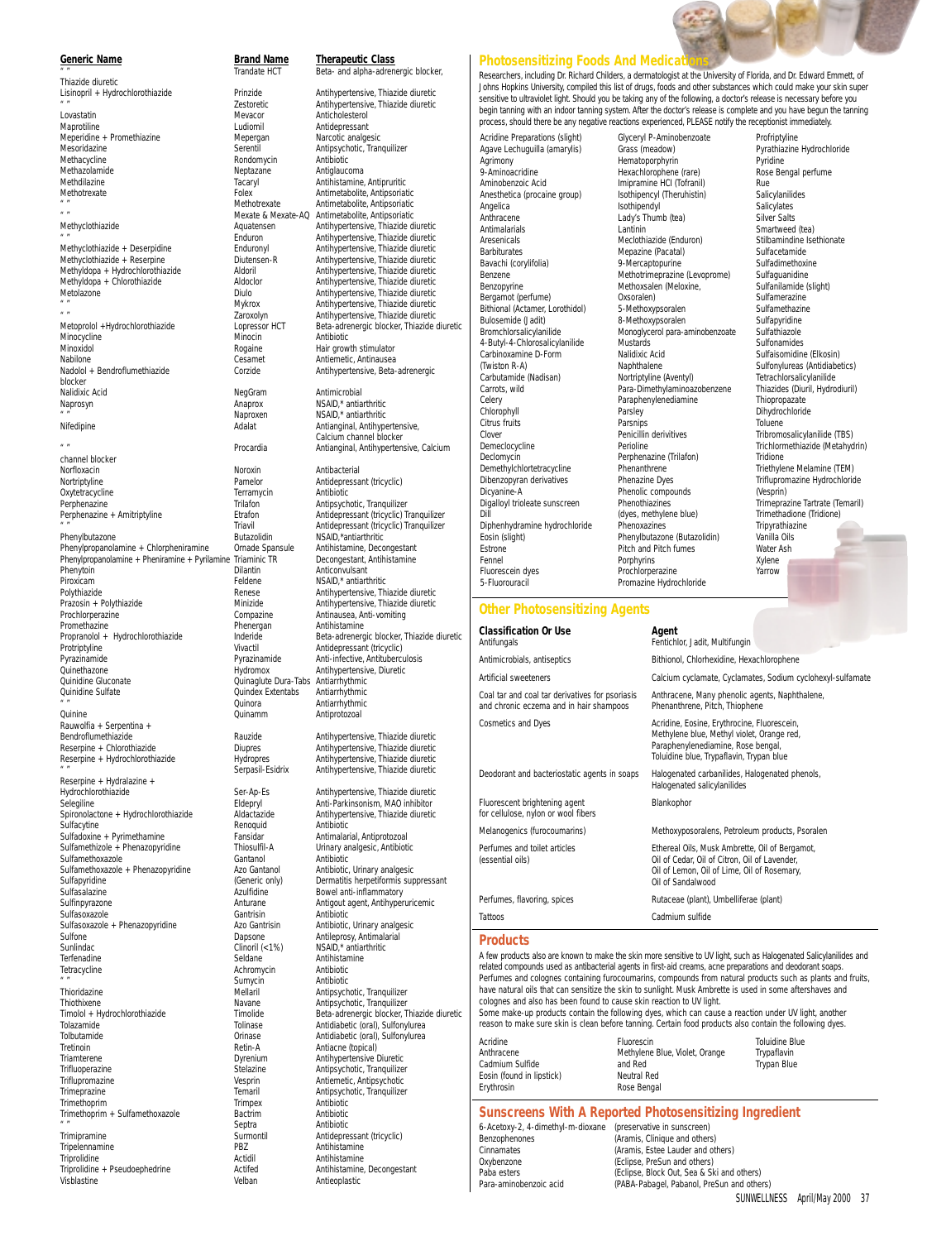### **Generic Name Brand Name Therapeutic Class** Thiazide diuretic

Lovastatin Mevacor Anticholesterol Meperidine + Promethiazine Mepergan Mesoridazine Mepergan Mesoridazine analgesic analygesische Mesorida<br>
Mesoridazine analgesische Serentil Methacycline Methazolamide Neptazane Antiglaucoma Methdilazine Tacaryl Antihistamine, Antipruritic<br>Methdilazine Tacaryl Antihistamine, Antipruritic<br>Methotrexate Foley Antimetabolite Antiproviation " " Methotrexate Antimetabolite, Antipsoriatic " " Mexate & Mexate-AQ Antimetabolite, Antipsoriatic Minocycline Minocin Antibiotic Minoxidol Christian (Christian Minoxidol Rogaine Hair growth stimulator<br>
Minoxidol Cesamet Antienetic, Antinausea Nabilone Cesamet Antiemetic, Antinausea<br>Nadolol + Bendroflumethiazide Corzide Antihypertensive. Beta blocker Nalidixic Acid NegGram Antimicrobial Naprosyn Anaprox NSAID,\* antiarthritic " " Naproxen NSAID,\* antiarthritic Nifedipine **Adalat** Adalat Antianginal, Antihypertensive,

channel blocker<br>Norfloxacin

Phenylpropanolamine + Chlorpheniramine Ornade Spansule Antihistamine, Decongestant Phenylpropanolamine + Pheniramine + Pyrilamine Triaminic TR<br>Phenylpropanolamine + Pheniramine + Pyrilamine Triaminic TR<br>Dilantin Phenytoin Dilantin Anticonvulsant<br>
Piroxicam Piroxicam Eeldene NSAID antiart Piroxicam Feldene NSAID,\* antiarthritic Polythiazide Renese Antihypertensive, Thiazide diuretic Prochlorperazine Compaz<br>Promethazine Phenerg<br>Propranolol + Hydrochlorothiazide Inderide Propranolol + Hydrochlorothiazide Inderide Beta-adrenergic blocker, Thiazide diuretic<br>Protriptyline Vivactil Antidepressant (tricyclic) Protriptyline Vivactil Antidepressant (tricyclic) Pyrazinamide Pyrazinamide Anti-infective, Antituberculosis Quinethazone Hydromox Antihypertensive, Diuretic Quinidine Gluconate Quinaglute Dura-Tabs Antiarrhythmic a " " Quinora Antiarrhythmic" (2011)<br>Cuinora - Cuinamm Antiprotozoal Rauwolfia + Serpentina + Bendroflumethiazide Rauzide Antihypertensive, Thiazide diuretic Reserpine + Hydrochlorothiazide Hydropres<br>
" Serpasil-Esidrix Reserpine + Hydralazine +<br>Hydrochlorothiazide Hydrochlorothiazide Ser-Ap-Es Antihypertensive, Thiazide diuretic<br>Selegiline Selegiline Selegiline Eldepryl Anti-Parkinsonism, MAO inhibitor Spironolactone + Hydrochlorothiazide Aldactazide Antihyper<br>Sulfacytine Renoquid Antihiotic Sulfacytine **Communists** Renoquid Antibiotic Antibiotic Sulfacytine + Pyrimethamine **Renormalists** Renormalists Antiprotozoal Sulfadoxine + Pyrimethamine Fansidar Antimalarial, Antiprotozoal Sulfamethizole + Phenazopyridine Thiosulfil-A Urinary analysis of the Thiosulfil-A Urinary analysis of the Thiosulfil-A Urinary analysis of the Cantanol Sulfamethoxazole Cantanol Gantanol Antibiotic Cantanol Antibiotic Cantanol Antibiotic Urinary analgesic<br>Sulfamethoxazole + Phenazopyridine Azo Gantanol Antibiotic, Urinary analgesic Sulfamethoxazole + Phenazopyridine Azo Gantanol<br>Sulfapyridine (Generic only) Sulfapyridine **Sulfapyridine** (Generic only) Dermatitis herpetiformis suppressant<br>
Sulfasalazine **Dermatitis herbetiformis suppressant** Sulfinpyrazone Anturane Antigout agent, Antihyperuricemic Sulfasoxazole Gantrisin Antibiotic Contrastingly Antibiotic Control of Sulfasoxazole Phenazopyridine Azo Gantrisin Antibiotic Urinary analgesic Sulfasoxazole + Phenazopyridine Sulfone Dapsone Antileprosy, Antimalarial Sunlindac Clinoril (<1%) NSAID,\* antiarthritic Terfenadine Seldane Antihistamine Tetracycline and the method of the Antibiotic Antibiotic Antibiotic Method of Sumvcing Antibiotic Antibiotic Method Sumvcing Antibiotic Method Sumvcing Antibiotic Method Sumvcing Antibiotic Method Sumvcing Antibiotic Metho " " Sumycin Antibiotic Summer Summer Summer Summer Summer Summer Summer Summer Summer Summer Summer Summer Summer Summer Summer Summer Summer Summer Summer Summer Summer Summer Summer Summer Summer Summer Summer Summer Sum Thiothixene Navane Antipsychotic, Tranquilizer Timolol + Hydrochlorothiazide Timolide Beta-adrenergic blocker, Thiazide diuretic Tolazamide Tolinase Antidiabetic (oral), Sulfonylurea

Tretinoin Communication (Tretin-Antiacne (topical)<br>Triamterene Communication (Triamterene Antihypertensive Trifluoperazine Stelazine Antipsychotic, Tranquilizer Triflupromazine Triflupromazine Contract the Vesprin Antiemetic, Antipsychotic<br>
Trimeprazine Trimeprazine Trimeprazine Temaril Antipsychotic, Tranquilize Trimethoprim Trimpex Antibiotic Trimethoprim + Sulfamethoxazole Bactrin<br>
Septra " " Septra Antibiotic

Norfloxacin Noroxin Antibacterial Oxytetracycline Terramy<br>
Perphenazine Terramy<br>
Trilafon Quindex Extentabs<br>Quinora Tripelennamine PBZ<br>Triprolidine Passachusettsmistamine Actidii Triprolidine + Pseudoephedrine Visblastine Velban Antieoplastic

Trandate HCT **Beta-** and alpha-adrenergic blocker, Lisinopril + Hydrochlorothiazide Prinzide Antihypertensive, Thiazide diuretic<br>
Testoretic Antihypertensive, Thiazide diuretic<br>
Antihypertensive, Thiazide diuretic " " Zestoretic Antihypertensive, Thiazide diuretic Antidepressant<br>Narcotic analgesic Serentil **Antipsychotic, Tranquilizer**<br>
Rondomycin **Antibiotic** Methotrexate Folex Antimetabolite, Antipsoriatic Antihypertensive, Thiazide diuretic " " Enduron Antihypertensive, Thiazide diuretic Methyclothiazide + Deserpidine Enduronyl Antihypertensive, Thiazide diuretic Methyclothiazide + Reserpine Diutensen-R Antihypertensive, Thiazide diuretic Methyldopa + Hydrochlorothiazide Aldoril Antihypertensive, Thiazide diuretic<br>Methyldopa + Chlorothiazide Aldoclor Metolazone Diulo Antihypertensive, Thiazide diuretic " " Mykrox Antihypertensive, Thiazide diuretic " " Zaroxolyn Antihypertensive, Thiazide diuretic Beta-adrenergic blocker, Thiazide diuretic Antihypertensive, Beta-adrenergic

> Calcium channel blocker Procardia Mantianginal, Antihypertensive, Calcium Pamelor **Antidepressant (tricyclic)**<br>Terramycin **Antibiotic**

Perphenazine **Trilafon** Trilafon Antipsychotic, Tranquilizer<br>Perphenazine + Amitriptyline **Trilafon** Etrafon Antidepressant (tricyclic) T Perphenazine + Amitriptyline Etrafon Antidepressant (tricyclic) Tranquilizer " " Triavil Antidepressant (tricyclic) Tranquilizer Phenylbutazone Butazolidin NSAID,\*antiarthritic Processes antihypertensive, Thiazide diuretic<br>
Compazine Antihypertensive, Thiazide diuretic<br>
Antinausea, Anti-vomiting niman<br>
Compazine Antinausea, Anti-vomiting<br>
Phenergan Antihistamine Antiprotozoal

> Antihypertensive, Thiazide diuretic<br>Antihypertensive, Thiazide diuretic Antihypertensive, Thiazide diuretic

Eldepryl Film Anti-Parkinsonism, MAO inhibitor<br>Aldactazide Anti-Parkinsonism, MAO inhibitor Bowel anti-inflammatory Antipsychotic, Tranquilizer Tolbutamide Orinase Antidiabetic (oral), Sulfonylurea Antihypertensive Diuretic Temaril Antipsychotic, Tranquilizer<br>Trimpex Antibiotic Surmontil Antidepressant (tricyclic)<br>PBZ Antihistamine Actidil Antihistamine<br>Triproditional Antihistamine, Decongestant

### **Photosensitizing Foods And Medica**

Researchers, including Dr. Richard Childers, a dermatologist at the University of Florida, and Dr. Edward Emmett, of Johns Hopkins University, compiled this list of drugs, foods and other substances which could make your skin super sensitive to ultraviolet light. Should you be taking any of the following, a doctor's release is necessary before you begin tanning with an indoor tanning system. After the doctor's release is complete and you have begun the tanning process, should there be any negative reactions experienced, PLEASE notify the receptionist immediately.

Acridine Preparations (slight) Agave Lechuguilla (amarylis) Agrimony 9-Aminoacridine Aminobenzoic Acid Anesthetica (procaine group) Angelica Anthracene Antimalarials Aresenicals Barbiturates Bavachi (corylifolia) Benzene Benzopyrine Bergamot (perfume) Bithional (Actamer, Lorothidol) Bulosemide (Jadit) Bromchlorsalicylanilide 4-Butyl-4-Chlorosalicylanilide Carbinoxamine D-Form (Twiston R-A) Carbutamide (Nadisan) Carrots, wild Celery Chlorophyll Citrus fruits Clover Demeclocycline Declomycin Demethylchlortetracycline Dibenzopyran derivatives Dicyanine-A Digalloyl trioleate sunscreen Dill Diphenhydramine hydrochloride Eosin (slight) Estrone Fennel Fluorescein dyes

Glyceryl P-Aminobenzoate Grass (meadow) Hematoporphyrin Hexachlorophene (rare) Imipramine HCI (Tofranil) Isothipencyl (Theruhistin) Isothipendyl Lady's Thumb (tea) Lantinin Meclothiazide (Enduron) Mepazine (Pacatal) 9-Mercaptopurine Methotrimeprazine (Levoprome) Methoxsalen (Meloxine, Oxsoralen) 5-Methoxypsoralen 8-Methoxypsoralen Monoglycerol para-aminobenzoate Mustards Nalidixic Acid Naphthalene Nortriptyline (Aventyl) Para-Dimethylaminoazobenzene Paraphenylenediamine Parsley Parsnips Penicillin derivitives Perioline Perphenazine (Trilafon) **Phenanthrene** Phenazine Dyes Phenolic compounds Phenothiazines (dyes, methylene blue) Phenoxazines Phenylbutazone (Butazolidin) Pitch and Pitch fumes **Porphyrins** Prochlorperazine Promazine Hydrochloride

Profriptyline Pyrathiazine Hydrochloride Pyridine Rose Bengal perfume Rue Salicylanilides **Salicylates** Silver Salts Smartweed (tea) Stilbamindine Isethionate Sulfacetamide Sulfadimethoxine Sulfaguanidine Sulfanilamide (slight) Sulfamerazine Sulfamethazine **Sulfapyridine** Sulfathiazole Sulfonamides Sulfaisomidine (Elkosin) Sulfonylureas (Antidiabetics) Tetrachlorsalicylanilide Thiazides (Diuril, Hydrodiuril) Thiopropazate Dihydrochloride Toluene Tribromosalicylanilide (TBS) Trichlormethiazide (Metahydrin) **Tridione** Triethylene Melamine (TEM) Triflupromazine Hydrochloride (Vesprin) Trimeprazine Tartrate (Temaril) Trimethadione (Tridione) Tripyrathiazine Vanilla Oils Water Ash Xylene Yarrow

### **Other Photosensitizing Agents**

5-Fluorouracil

| <b>Classification Or Use</b><br>Antifungals                                                | Agent<br>Fentichlor, Jadit, Multifungin                                                                                                                                     |  |
|--------------------------------------------------------------------------------------------|-----------------------------------------------------------------------------------------------------------------------------------------------------------------------------|--|
| Antimicrobials, antiseptics                                                                | Bithionol, Chlorhexidine, Hexachlorophene                                                                                                                                   |  |
| Artificial sweeteners                                                                      | Calcium cyclamate, Cyclamates, Sodium cyclohexyl-sulfamate                                                                                                                  |  |
| Coal tar and coal tar derivatives for psoriasis<br>and chronic eczema and in hair shampoos | Anthracene, Many phenolic agents, Naphthalene,<br>Phenanthrene, Pitch, Thiophene                                                                                            |  |
| <b>Cosmetics and Dyes</b>                                                                  | Acridine, Eosine, Erythrocine, Fluorescein,<br>Methylene blue, Methyl violet, Orange red,<br>Paraphenylenediamine, Rose bengal,<br>Toluidine blue, Trypaflavin, Trypan blue |  |
| Deodorant and bacteriostatic agents in soaps                                               | Halogenated carbanilides, Halogenated phenols,<br>Halogenated salicylanilides                                                                                               |  |
| Fluorescent brightening agent<br>for cellulose, nylon or wool fibers                       | Blankophor                                                                                                                                                                  |  |
| Melanogenics (furocoumarins)                                                               | Methoxyposoralens, Petroleum products, Psoralen                                                                                                                             |  |
| Perfumes and toilet articles<br>(essential oils)                                           | Ethereal Oils, Musk Ambrette, Oil of Bergamot,<br>Oil of Cedar, Oil of Citron, Oil of Lavender,<br>Oil of Lemon, Oil of Lime, Oil of Rosemary,<br>Oil of Sandalwood         |  |
| Perfumes, flavoring, spices                                                                | Rutaceae (plant), Umbelliferae (plant)                                                                                                                                      |  |
| Tattoos                                                                                    | Cadmium sulfide                                                                                                                                                             |  |

### **Products**

Eos Ery

A few products also are known to make the skin more sensitive to UV light, such as Halogenated Salicylanilides and related compounds used as antibacterial agents in first-aid creams, acne preparations and deodorant soaps. Perfumes and colognes containing furocoumarins, compounds from natural products such as plants and fruits,<br>have natural oils that can sensitize the skin to sunlight. Musk Ambrette is used in some aftershaves and colognes and also has been found to cause skin reaction to UV light.

Some make-up products contain the following dyes, which can cause a reaction under UV light, another reason to make sure skin is clean before tanning. Certain food products also contain the following dyes.

| Acridine                  | Fluorescin                     | <b>Toluidine Blue</b> |
|---------------------------|--------------------------------|-----------------------|
| Anthracene                | Methylene Blue, Violet, Orange | Trypaflavin           |
| Cadmium Sulfide           | and Red                        | <b>Trypan Blue</b>    |
| Eosin (found in lipstick) | Neutral Red                    |                       |
| Erythrosin                | Rose Bengal                    |                       |

### **Sunscreens With A Reported Photosensitizing Ingredient**

SUNWELLNESS April/May 2000 37 6-Acetoxy-2, 4-dimethyl-m-dioxane (preservative in sunscreen) Benzophenones (Aramis, Clinique and others)<br>Cinnamates (Aramis, Estee Lauder and others) Cinnamates (Aramis, Estee Lauder and others)<br>
Oxybenzone (Eclipse, PreSun and others) (Eclipse, PreSun and others) Paba esters (Eclipse, Block Out, Sea & Ski and others) Para-aminobenzoic acid (PABA-Pabagel, Pabanol, PreSun and others)